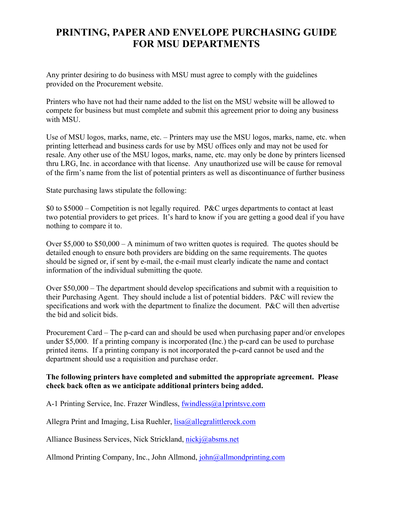## **PRINTING, PAPER AND ENVELOPE PURCHASING GUIDE FOR MSU DEPARTMENTS**

Any printer desiring to do business with MSU must agree to comply with the guidelines provided on the Procurement website.

Printers who have not had their name added to the list on the MSU website will be allowed to compete for business but must complete and submit this agreement prior to doing any business with MSU.

Use of MSU logos, marks, name, etc. – Printers may use the MSU logos, marks, name, etc. when printing letterhead and business cards for use by MSU offices only and may not be used for resale. Any other use of the MSU logos, marks, name, etc. may only be done by printers licensed thru LRG, Inc. in accordance with that license. Any unauthorized use will be cause for removal of the firm's name from the list of potential printers as well as discontinuance of further business

State purchasing laws stipulate the following:

\$0 to \$5000 – Competition is not legally required. P&C urges departments to contact at least two potential providers to get prices. It's hard to know if you are getting a good deal if you have nothing to compare it to.

Over \$5,000 to \$50,000 – A minimum of two written quotes is required. The quotes should be detailed enough to ensure both providers are bidding on the same requirements. The quotes should be signed or, if sent by e-mail, the e-mail must clearly indicate the name and contact information of the individual submitting the quote.

Over \$50,000 – The department should develop specifications and submit with a requisition to their Purchasing Agent. They should include a list of potential bidders. P&C will review the specifications and work with the department to finalize the document. P&C will then advertise the bid and solicit bids.

Procurement Card – The p-card can and should be used when purchasing paper and/or envelopes under \$5,000. If a printing company is incorporated (Inc.) the p-card can be used to purchase printed items. If a printing company is not incorporated the p-card cannot be used and the department should use a requisition and purchase order.

## **The following printers have completed and submitted the appropriate agreement. Please check back often as we anticipate additional printers being added.**

A-1 Printing Service, Inc. Frazer Windless, [fwindless@a1printsvc.com](mailto:fwindless@a1printsvc.com)

Allegra Print and Imaging, Lisa Ruehler,  $lisa@allegral ittlerock.com$ 

Alliance Business Services, Nick Strickland, [nickj@absms.net](mailto:nickj@absms.net)

Allmond Printing Company, Inc., John Allmond, [john@allmondprinting.com](mailto:john@allmondprinting.com)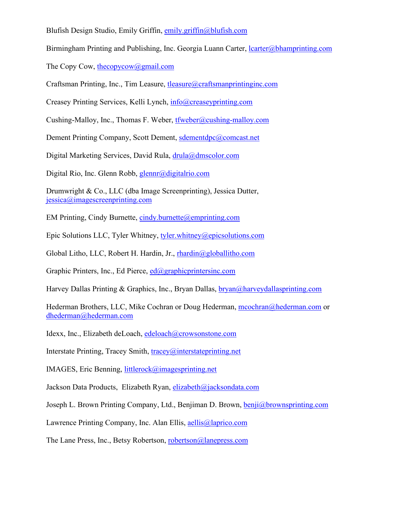Blufish Design Studio, Emily Griffin, [emily.griffin@blufish.com](mailto:melissa@blufishdesign.com)

Birmingham Printing and Publishing, Inc. Georgia Luann Carter,  $lcarter(Q)$ bhamprinting.com

The Copy Cow, the copycow (a) gmail.com

Craftsman Printing, Inc., Tim Leasure, [tleasure@craftsmanprintinginc.com](mailto:tleasure@craftsmanprintinginc.com)

Creasey Printing Services, Kelli Lynch, [info@creaseyprinting.com](mailto:info@creaseyprinting.com)

Cushing-Malloy, Inc., Thomas F. Weber, [tfweber@cushing-malloy.com](mailto:tfweber@cushing-malloy.com)

Dement Printing Company, Scott Dement, [sdementdpc@comcast.net](mailto:sdementdpc@comcast.net)

Digital Marketing Services, David Rula, [drula@dmscolor.com](mailto:drula@dmscolor.com)

Digital Rio, Inc. Glenn Robb, [glennr@digitalrio.com](mailto:glennr@digitalrio.com)

Drumwright & Co., LLC (dba Image Screenprinting), Jessica Dutter, [jessica@imagescreenprinting.com](mailto:jessica@imagescreenprinting.com)

EM Printing, Cindy Burnette, [cindy.burnette@emprinting.com](mailto:cindy.burnette@emprinting.com)

Epic Solutions LLC, Tyler Whitney, [tyler.whitney@epicsolutions.com](mailto:tyler.whitney@epicsolutions.com)

Global Litho, LLC, Robert H. Hardin, Jr., [rhardin@globallitho.com](mailto:rhardin@globallitho.com)

Graphic Printers, Inc., Ed Pierce,  $ed@graphicprintersinc.com$ 

Harvey Dallas Printing & Graphics, Inc., Bryan Dallas, [bryan@harveydallasprinting.com](mailto:bryan@harveydallasprinting.com)

Hederman Brothers, LLC, Mike Cochran or Doug Hederman, [mcochran@hederman.com](mailto:mcochran@hederman.com) or [dhederman@hederman.com](mailto:dhederman@hederman.com)

Idexx, Inc., Elizabeth deLoach, [edeloach@crowsonstone.com](mailto:edeloach@crowsonstone.com)

Interstate Printing, Tracey Smith, [tracey@interstateprinting.net](mailto:tracey@interstateprinting.net)

IMAGES, Eric Benning, [littlerock@imagesprinting.net](mailto:littlerock@imagesprinting.net) 

Jackson Data Products, Elizabeth Ryan, [elizabeth@jacksondata.com](mailto:elizabeth@jacksondata.com)

Joseph L. Brown Printing Company, Ltd., Benjiman D. Brown, [benji@brownsprinting.com](mailto:benji@brownsprinting.com)

Lawrence Printing Company, Inc. Alan Ellis, [aellis@laprico.com](mailto:aellis@laprico.com)

The Lane Press, Inc., Betsy Robertson, [robertson@lanepress.com](mailto:robertson@lanepress.com)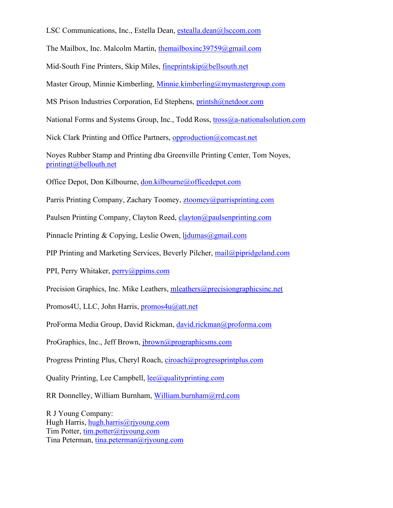LSC Communications, Inc., Estella Dean, [estealla.dean@lsccom.com](mailto:estealla.dean@lsccom.com)

The Mailbox, Inc. Malcolm Martin, [themailboxinc39759@gmail.com](mailto:themailboxinc39759@gmail.com)

Mid-South Fine Printers, Skip Miles, [fineprintskip@bellsouth.net](mailto:fineprintskip@bellsouth.net)

Master Group, Minnie Kimberling, [Minnie.kimberling@mymastergroup.com](mailto:Minnie.kimberling@mymastergroup.com)

MS Prison Industries Corporation, Ed Stephens, [printsh@netdoor.com](mailto:printsh@netdoor.com)

National Forms and Systems Group, Inc., Todd Ross, [tross@a-nationalsolution.com](mailto:tross@a-nationalsolution.com)

Nick Clark Printing and Office Partners, [opproduction@comcast.net](mailto:opproduction@comcast.net)

Noyes Rubber Stamp and Printing dba Greenville Printing Center, Tom Noyes, [printingt@bellouth.net](mailto:printingt@bellouth.net)

Office Depot, Don Kilbourne, [don.kilbourne@officedepot.com](mailto:don.kilbourne@officedepot.com)

Parris Printing Company, Zachary Toomey, [ztoomey@parrisprinting.com](mailto:ztoomey@parrisprinting.com)

Paulsen Printing Company, Clayton Reed, [clayton@paulsenprinting.com](mailto:clayton@paulsenprinting.com)

Pinnacle Printing & Copying, Leslie Owen, [ljdumas@gmail.com](mailto:ljdumas@gmail.com)

PIP Printing and Marketing Services, Beverly Pilcher, [mail@pipridgeland.com](mailto:mail@pipridgeland.com)

PPI, Perry Whitaker, [perry@ppims.com](mailto:perry@ppims.com)

Precision Graphics, Inc. Mike Leathers, [mleathers@precisiongraphicsinc.net](mailto:mleathers@precisiongraphicsinc.net)

Promos4U, LLC, John Harris, [promos4u@att.net](mailto:promos4u@att.net)

ProForma Media Group, David Rickman, [david.rickman@proforma.com](mailto:david.rickman@proforma.com)

ProGraphics, Inc., Jeff Brown, [jbrown@prographicsms.com](mailto:jbrown@prographicsms.com)

Progress Printing Plus, Cheryl Roach, [ciroach@progressprintplus.com](mailto:ciroach@progressprintplus.com)

Quality Printing, Lee Campbell,  $\text{lec}(\hat{a})$  quality printing.com

RR Donnelley, William Burnham, [William.burnham@rrd.com](mailto:William.burnham@rrd.com)

R J Young Company: Hugh Harris, [hugh.harris@rjyoung.com](mailto:hugh.harris@rjyoung.com) Tim Potter, [tim.potter@rjyoung.com](mailto:tim.potter@rjyoung.com) Tina Peterman, [tina.peterman@rjyoung.com](mailto:tina.peterman@rjyoung.com)